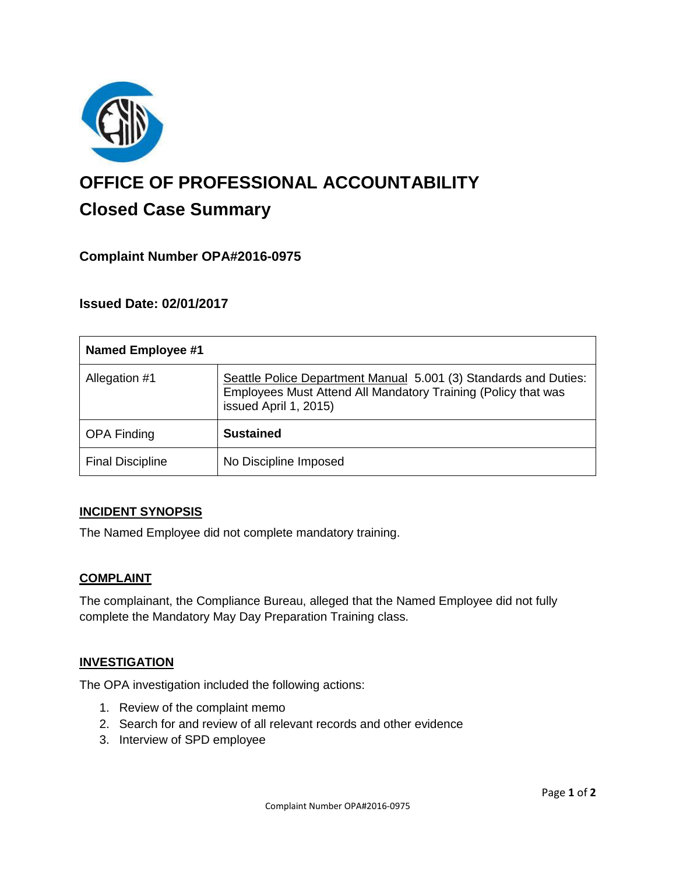

# **OFFICE OF PROFESSIONAL ACCOUNTABILITY Closed Case Summary**

# **Complaint Number OPA#2016-0975**

## **Issued Date: 02/01/2017**

| <b>Named Employee #1</b> |                                                                                                                                                            |
|--------------------------|------------------------------------------------------------------------------------------------------------------------------------------------------------|
| Allegation #1            | Seattle Police Department Manual 5.001 (3) Standards and Duties:<br>Employees Must Attend All Mandatory Training (Policy that was<br>issued April 1, 2015) |
| <b>OPA Finding</b>       | <b>Sustained</b>                                                                                                                                           |
| <b>Final Discipline</b>  | No Discipline Imposed                                                                                                                                      |

#### **INCIDENT SYNOPSIS**

The Named Employee did not complete mandatory training.

#### **COMPLAINT**

The complainant, the Compliance Bureau, alleged that the Named Employee did not fully complete the Mandatory May Day Preparation Training class.

#### **INVESTIGATION**

The OPA investigation included the following actions:

- 1. Review of the complaint memo
- 2. Search for and review of all relevant records and other evidence
- 3. Interview of SPD employee